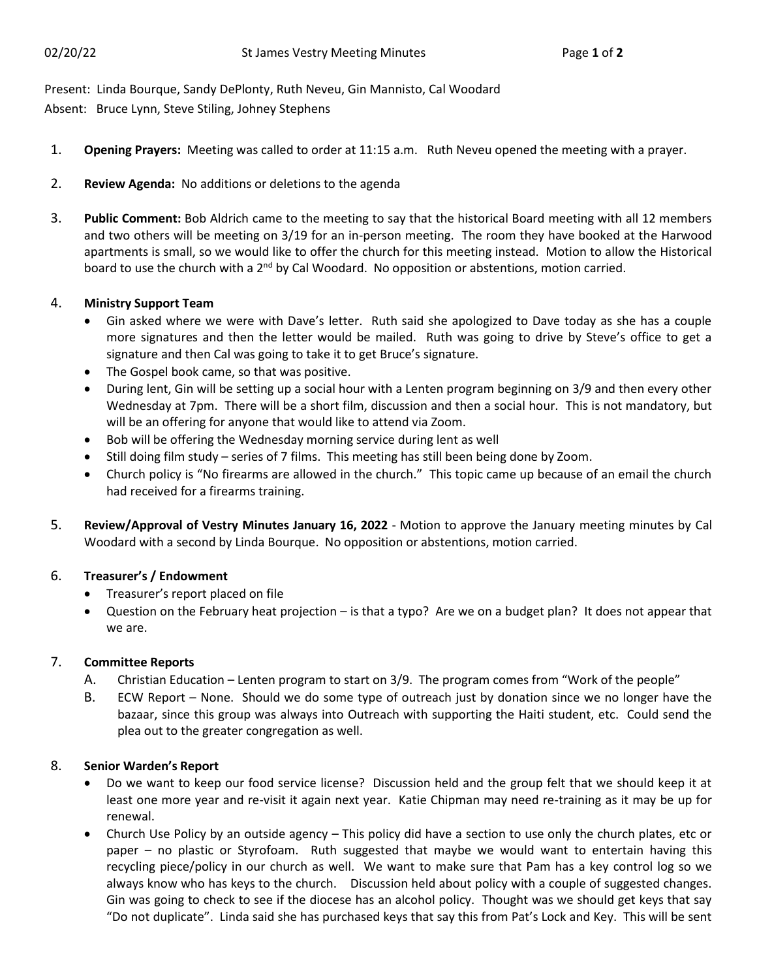Present: Linda Bourque, Sandy DePlonty, Ruth Neveu, Gin Mannisto, Cal Woodard Absent: Bruce Lynn, Steve Stiling, Johney Stephens

- 1. **Opening Prayers:** Meeting was called to order at 11:15 a.m. Ruth Neveu opened the meeting with a prayer.
- 2. **Review Agenda:** No additions or deletions to the agenda
- 3. **Public Comment:** Bob Aldrich came to the meeting to say that the historical Board meeting with all 12 members and two others will be meeting on 3/19 for an in-person meeting. The room they have booked at the Harwood apartments is small, so we would like to offer the church for this meeting instead. Motion to allow the Historical board to use the church with a 2<sup>nd</sup> by Cal Woodard. No opposition or abstentions, motion carried.

# 4. **Ministry Support Team**

- Gin asked where we were with Dave's letter. Ruth said she apologized to Dave today as she has a couple more signatures and then the letter would be mailed. Ruth was going to drive by Steve's office to get a signature and then Cal was going to take it to get Bruce's signature.
- The Gospel book came, so that was positive.
- During lent, Gin will be setting up a social hour with a Lenten program beginning on 3/9 and then every other Wednesday at 7pm. There will be a short film, discussion and then a social hour. This is not mandatory, but will be an offering for anyone that would like to attend via Zoom.
- Bob will be offering the Wednesday morning service during lent as well
- Still doing film study series of 7 films. This meeting has still been being done by Zoom.
- Church policy is "No firearms are allowed in the church." This topic came up because of an email the church had received for a firearms training.
- 5. **Review/Approval of Vestry Minutes January 16, 2022** Motion to approve the January meeting minutes by Cal Woodard with a second by Linda Bourque. No opposition or abstentions, motion carried.

# 6. **Treasurer's / Endowment**

- Treasurer's report placed on file
- Question on the February heat projection is that a typo? Are we on a budget plan? It does not appear that we are.

# 7. **Committee Reports**

- A. Christian Education Lenten program to start on 3/9. The program comes from "Work of the people"
- B. ECW Report None. Should we do some type of outreach just by donation since we no longer have the bazaar, since this group was always into Outreach with supporting the Haiti student, etc. Could send the plea out to the greater congregation as well.

# 8. **Senior Warden's Report**

- Do we want to keep our food service license? Discussion held and the group felt that we should keep it at least one more year and re-visit it again next year. Katie Chipman may need re-training as it may be up for renewal.
- Church Use Policy by an outside agency This policy did have a section to use only the church plates, etc or paper – no plastic or Styrofoam. Ruth suggested that maybe we would want to entertain having this recycling piece/policy in our church as well. We want to make sure that Pam has a key control log so we always know who has keys to the church. Discussion held about policy with a couple of suggested changes. Gin was going to check to see if the diocese has an alcohol policy. Thought was we should get keys that say "Do not duplicate". Linda said she has purchased keys that say this from Pat's Lock and Key. This will be sent